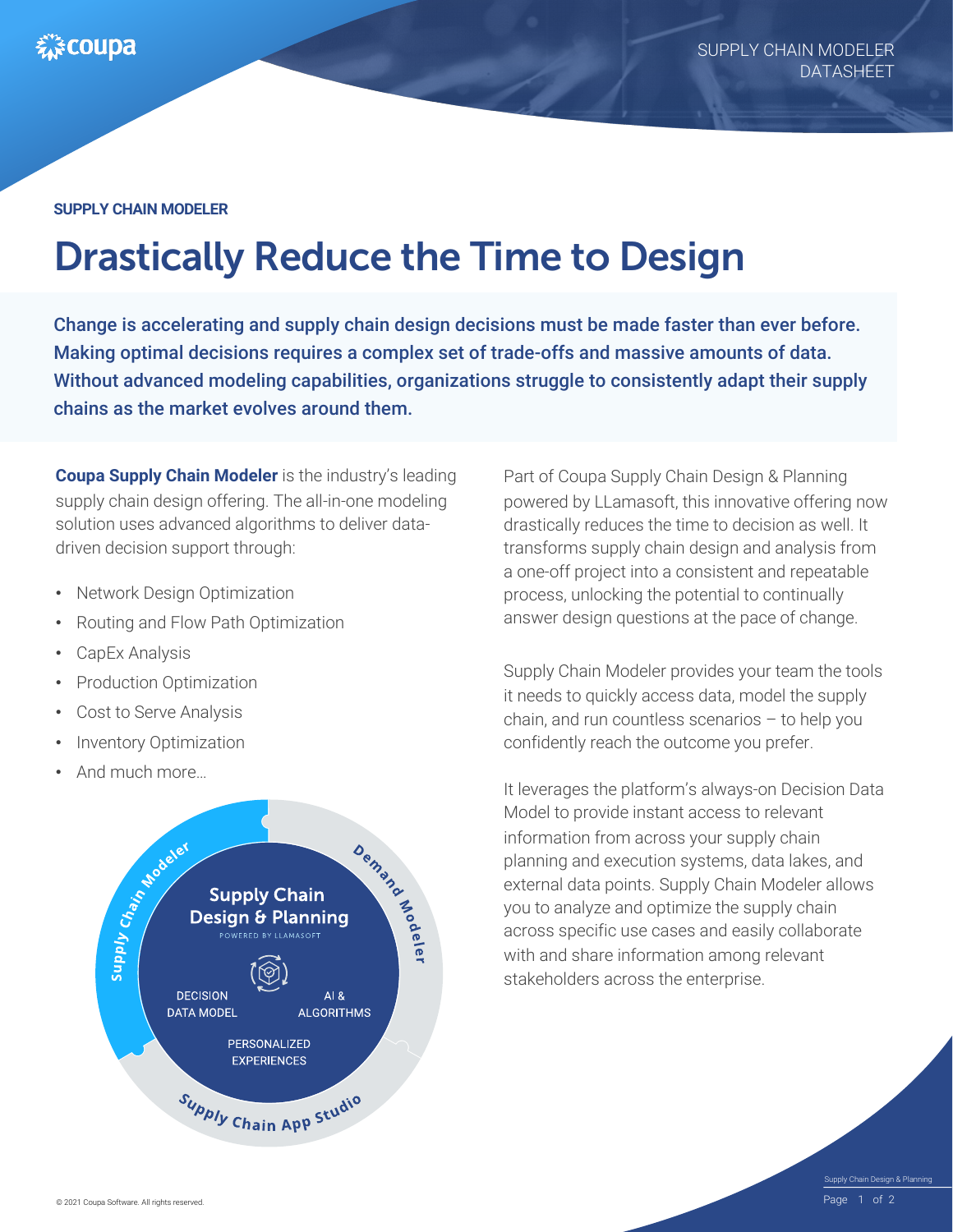#### **SUPPLY CHAIN MODELER**

# Drastically Reduce the Time to Design

Change is accelerating and supply chain design decisions must be made faster than ever before. Making optimal decisions requires a complex set of trade-offs and massive amounts of data. Without advanced modeling capabilities, organizations struggle to consistently adapt their supply chains as the market evolves around them.

**Coupa Supply Chain Modeler** is the industry's leading supply chain design offering. The all-in-one modeling solution uses advanced algorithms to deliver datadriven decision support through:

- Network Design Optimization
- Routing and Flow Path Optimization
- CapEx Analysis
- Production Optimization
- Cost to Serve Analysis
- Inventory Optimization
- And much more…



Part of Coupa Supply Chain Design & Planning powered by LLamasoft, this innovative offering now drastically reduces the time to decision as well. It transforms supply chain design and analysis from a one-off project into a consistent and repeatable process, unlocking the potential to continually answer design questions at the pace of change.

Supply Chain Modeler provides your team the tools it needs to quickly access data, model the supply chain, and run countless scenarios – to help you confidently reach the outcome you prefer.

It leverages the platform's always-on Decision Data Model to provide instant access to relevant information from across your supply chain planning and execution systems, data lakes, and external data points. Supply Chain Modeler allows you to analyze and optimize the supply chain across specific use cases and easily collaborate with and share information among relevant stakeholders across the enterprise.